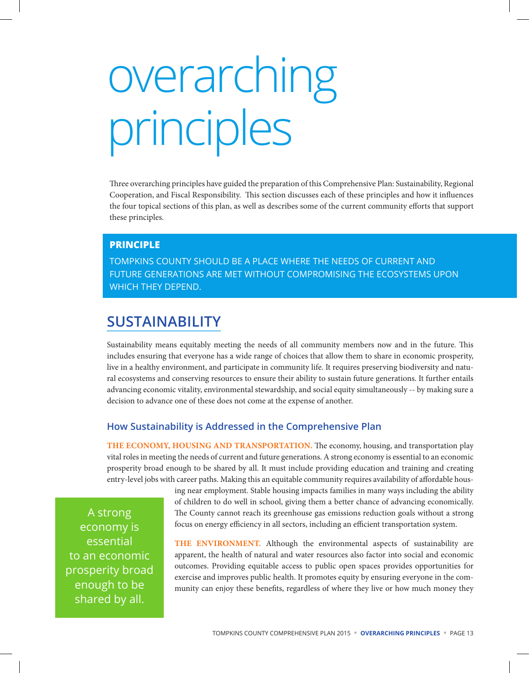# overarching principles

Three overarching principles have guided the preparation of this Comprehensive Plan: Sustainability, Regional Cooperation, and Fiscal Responsibility. This section discusses each of these principles and how it influences the four topical sections of this plan, as well as describes some of the current community efforts that support these principles.

## **PRINCIPLE**

TOMPKINS COUNTY SHOULD BE A PLACE WHERE THE NEEDS OF CURRENT AND FUTURE GENERATIONS ARE MET WITHOUT COMPROMISING THE ECOSYSTEMS UPON WHICH THEY DEPEND.

# **SUSTAINABILITY**

Sustainability means equitably meeting the needs of all community members now and in the future. This includes ensuring that everyone has a wide range of choices that allow them to share in economic prosperity, live in a healthy environment, and participate in community life. It requires preserving biodiversity and natural ecosystems and conserving resources to ensure their ability to sustain future generations. It further entails advancing economic vitality, environmental stewardship, and social equity simultaneously -- by making sure a decision to advance one of these does not come at the expense of another.

# **How Sustainability is Addressed in the Comprehensive Plan**

**THE ECONOMY, HOUSING AND TRANSPORTATION.** The economy, housing, and transportation play vital roles in meeting the needs of current and future generations. A strong economy is essential to an economic prosperity broad enough to be shared by all. It must include providing education and training and creating entry-level jobs with career paths. Making this an equitable community requires availability of affordable hous-

> ing near employment. Stable housing impacts families in many ways including the ability of children to do well in school, giving them a better chance of advancing economically. The County cannot reach its greenhouse gas emissions reduction goals without a strong focus on energy efficiency in all sectors, including an efficient transportation system.

A strong economy is essential to an economic prosperity broad enough to be shared by all.

**THE ENVIRONMENT.** Although the environmental aspects of sustainability are apparent, the health of natural and water resources also factor into social and economic outcomes. Providing equitable access to public open spaces provides opportunities for exercise and improves public health. It promotes equity by ensuring everyone in the community can enjoy these benefits, regardless of where they live or how much money they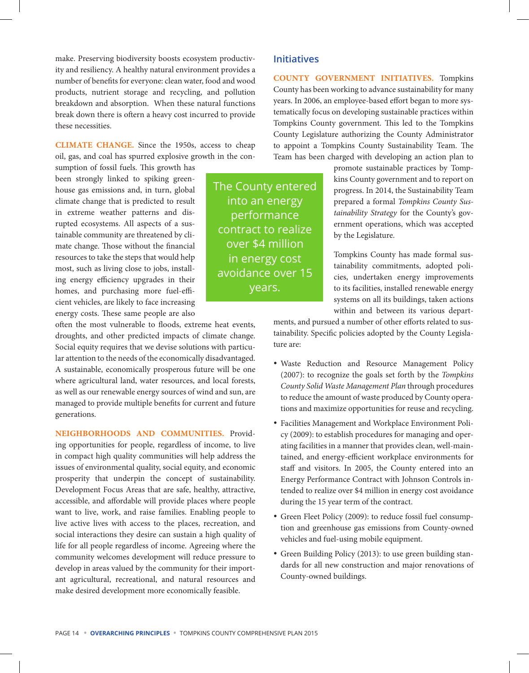make. Preserving biodiversity boosts ecosystem productivity and resiliency. A healthy natural environment provides a number of benefits for everyone: clean water, food and wood products, nutrient storage and recycling, and pollution breakdown and absorption. When these natural functions break down there is oftern a heavy cost incurred to provide these necessities.

**CLIMATE CHANGE.** Since the 1950s, access to cheap oil, gas, and coal has spurred explosive growth in the con-

sumption of fossil fuels. This growth has been strongly linked to spiking greenhouse gas emissions and, in turn, global climate change that is predicted to result in extreme weather patterns and disrupted ecosystems. All aspects of a sustainable community are threatened by climate change. Those without the financial resources to take the steps that would help most, such as living close to jobs, installing energy efficiency upgrades in their homes, and purchasing more fuel-efficient vehicles, are likely to face increasing energy costs. These same people are also

often the most vulnerable to floods, extreme heat events, droughts, and other predicted impacts of climate change. Social equity requires that we devise solutions with particular attention to the needs of the economically disadvantaged. A sustainable, economically prosperous future will be one where agricultural land, water resources, and local forests, as well as our renewable energy sources of wind and sun, are managed to provide multiple benefits for current and future generations.

**NEIGHBORHOODS AND COMMUNITIES.** Providing opportunities for people, regardless of income, to live in compact high quality communities will help address the issues of environmental quality, social equity, and economic prosperity that underpin the concept of sustainability. Development Focus Areas that are safe, healthy, attractive, accessible, and affordable will provide places where people want to live, work, and raise families. Enabling people to live active lives with access to the places, recreation, and social interactions they desire can sustain a high quality of life for all people regardless of income. Agreeing where the community welcomes development will reduce pressure to develop in areas valued by the community for their important agricultural, recreational, and natural resources and make desired development more economically feasible.

**Initiatives**

The County entered into an energy performance contract to realize over \$4 million in energy cost avoidance over 15 years.

**COUNTY GOVERNMENT INITIATIVES.** Tompkins County has been working to advance sustainability for many years. In 2006, an employee-based effort began to more systematically focus on developing sustainable practices within Tompkins County government. This led to the Tompkins County Legislature authorizing the County Administrator to appoint a Tompkins County Sustainability Team. The Team has been charged with developing an action plan to

> promote sustainable practices by Tompkins County government and to report on progress. In 2014, the Sustainability Team prepared a formal *Tompkins County Sustainability Strategy* for the County's government operations, which was accepted by the Legislature.

> Tompkins County has made formal sustainability commitments, adopted policies, undertaken energy improvements to its facilities, installed renewable energy systems on all its buildings, taken actions within and between its various depart-

ments, and pursued a number of other efforts related to sustainability. Specific policies adopted by the County Legislature are:

- • Waste Reduction and Resource Management Policy (2007): to recognize the goals set forth by the *Tompkins County Solid Waste Management Plan* through procedures to reduce the amount of waste produced by County operations and maximize opportunities for reuse and recycling.
- Facilities Management and Workplace Environment Policy (2009): to establish procedures for managing and operating facilities in a manner that provides clean, well-maintained, and energy-efficient workplace environments for staff and visitors. In 2005, the County entered into an Energy Performance Contract with Johnson Controls intended to realize over \$4 million in energy cost avoidance during the 15 year term of the contract.
- Green Fleet Policy (2009): to reduce fossil fuel consumption and greenhouse gas emissions from County-owned vehicles and fuel-using mobile equipment.
- Green Building Policy (2013): to use green building standards for all new construction and major renovations of County-owned buildings.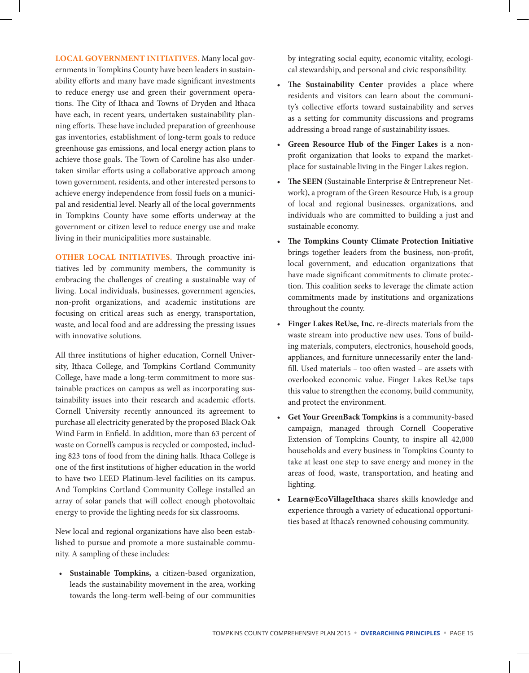**LOCAL GOVERNMENT INITIATIVES.** Many local governments in Tompkins County have been leaders in sustainability efforts and many have made significant investments to reduce energy use and green their government operations. The City of Ithaca and Towns of Dryden and Ithaca have each, in recent years, undertaken sustainability planning efforts. These have included preparation of greenhouse gas inventories, establishment of long-term goals to reduce greenhouse gas emissions, and local energy action plans to achieve those goals. The Town of Caroline has also undertaken similar efforts using a collaborative approach among town government, residents, and other interested persons to achieve energy independence from fossil fuels on a municipal and residential level. Nearly all of the local governments in Tompkins County have some efforts underway at the government or citizen level to reduce energy use and make living in their municipalities more sustainable.

**OTHER LOCAL INITIATIVES.** Through proactive initiatives led by community members, the community is embracing the challenges of creating a sustainable way of living. Local individuals, businesses, government agencies, non-profit organizations, and academic institutions are focusing on critical areas such as energy, transportation, waste, and local food and are addressing the pressing issues with innovative solutions.

All three institutions of higher education, Cornell University, Ithaca College, and Tompkins Cortland Community College, have made a long-term commitment to more sustainable practices on campus as well as incorporating sustainability issues into their research and academic efforts. Cornell University recently announced its agreement to purchase all electricity generated by the proposed Black Oak Wind Farm in Enfield. In addition, more than 63 percent of waste on Cornell's campus is recycled or composted, including 823 tons of food from the dining halls. Ithaca College is one of the first institutions of higher education in the world to have two LEED Platinum-level facilities on its campus. And Tompkins Cortland Community College installed an array of solar panels that will collect enough photovoltaic energy to provide the lighting needs for six classrooms.

New local and regional organizations have also been established to pursue and promote a more sustainable community. A sampling of these includes:

• **Sustainable Tompkins,** a citizen-based organization, leads the sustainability movement in the area, working towards the long-term well-being of our communities

by integrating social equity, economic vitality, ecological stewardship, and personal and civic responsibility.

- **The Sustainability Center** provides a place where residents and visitors can learn about the community's collective efforts toward sustainability and serves as a setting for community discussions and programs addressing a broad range of sustainability issues.
- **Green Resource Hub of the Finger Lakes** is a nonprofit organization that looks to expand the marketplace for sustainable living in the Finger Lakes region.
- **The SEEN** (Sustainable Enterprise & Entrepreneur Network), a program of the Green Resource Hub, is a group of local and regional businesses, organizations, and individuals who are committed to building a just and sustainable economy.
- **The Tompkins County Climate Protection Initiative** brings together leaders from the business, non-profit, local government, and education organizations that have made significant commitments to climate protection. This coalition seeks to leverage the climate action commitments made by institutions and organizations throughout the county.
- **Finger Lakes ReUse, Inc.** re-directs materials from the waste stream into productive new uses. Tons of building materials, computers, electronics, household goods, appliances, and furniture unnecessarily enter the landfill. Used materials – too often wasted – are assets with overlooked economic value. Finger Lakes ReUse taps this value to strengthen the economy, build community, and protect the environment.
- **Get Your GreenBack Tompkins** is a community-based campaign, managed through Cornell Cooperative Extension of Tompkins County, to inspire all 42,000 households and every business in Tompkins County to take at least one step to save energy and money in the areas of food, waste, transportation, and heating and lighting.
- **Learn@EcoVillageIthaca** shares skills knowledge and experience through a variety of educational opportunities based at Ithaca's renowned cohousing community.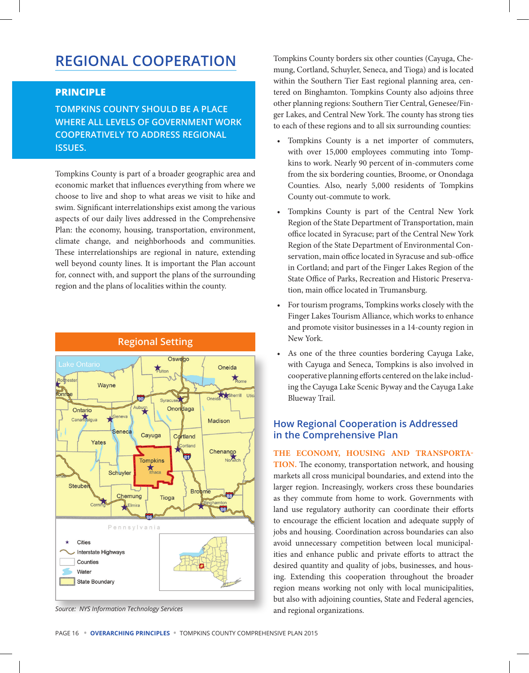# **REGIONAL COOPERATION**

#### **PRINCIPLE**

**TOMPKINS COUNTY SHOULD BE A PLACE WHERE ALL LEVELS OF GOVERNMENT WORK COOPERATIVELY TO ADDRESS REGIONAL ISSUES.**

Tompkins County is part of a broader geographic area and economic market that influences everything from where we choose to live and shop to what areas we visit to hike and swim. Significant interrelationships exist among the various aspects of our daily lives addressed in the Comprehensive Plan: the economy, housing, transportation, environment, climate change, and neighborhoods and communities. These interrelationships are regional in nature, extending well beyond county lines. It is important the Plan account for, connect with, and support the plans of the surrounding region and the plans of localities within the county.



#### **Regional Setting**

*Source: NYS Information Technology Services*

Tompkins County borders six other counties (Cayuga, Chemung, Cortland, Schuyler, Seneca, and Tioga) and is located within the Southern Tier East regional planning area, centered on Binghamton. Tompkins County also adjoins three other planning regions: Southern Tier Central, Genesee/Finger Lakes, and Central New York. The county has strong ties to each of these regions and to all six surrounding counties:

- Tompkins County is a net importer of commuters, with over 15,000 employees commuting into Tompkins to work. Nearly 90 percent of in-commuters come from the six bordering counties, Broome, or Onondaga Counties. Also, nearly 5,000 residents of Tompkins County out-commute to work.
- Tompkins County is part of the Central New York Region of the State Department of Transportation, main office located in Syracuse; part of the Central New York Region of the State Department of Environmental Conservation, main office located in Syracuse and sub-office in Cortland; and part of the Finger Lakes Region of the State Office of Parks, Recreation and Historic Preservation, main office located in Trumansburg.
- For tourism programs, Tompkins works closely with the Finger Lakes Tourism Alliance, which works to enhance and promote visitor businesses in a 14-county region in New York.
- As one of the three counties bordering Cayuga Lake, with Cayuga and Seneca, Tompkins is also involved in cooperative planning efforts centered on the lake including the Cayuga Lake Scenic Byway and the Cayuga Lake Blueway Trail.

## **How Regional Cooperation is Addressed in the Comprehensive Plan**

**THE ECONOMY, HOUSING AND TRANSPORTA-TION.** The economy, transportation network, and housing markets all cross municipal boundaries, and extend into the larger region. Increasingly, workers cross these boundaries as they commute from home to work. Governments with land use regulatory authority can coordinate their efforts to encourage the efficient location and adequate supply of jobs and housing. Coordination across boundaries can also avoid unnecessary competition between local municipalities and enhance public and private efforts to attract the desired quantity and quality of jobs, businesses, and housing. Extending this cooperation throughout the broader region means working not only with local municipalities, but also with adjoining counties, State and Federal agencies, and regional organizations.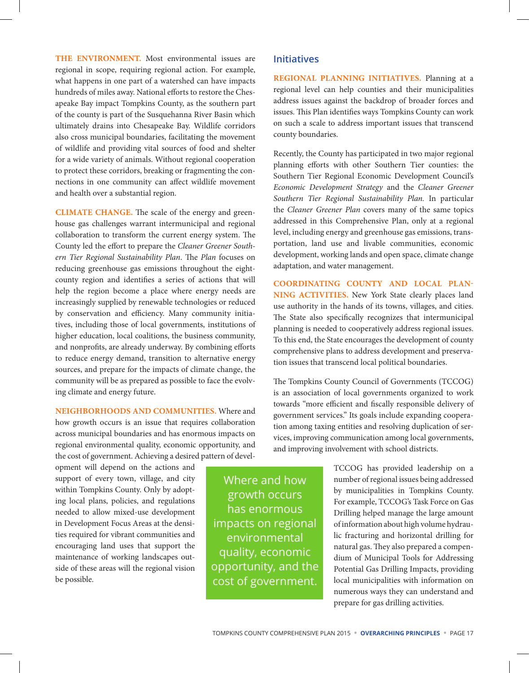**THE ENVIRONMENT.** Most environmental issues are regional in scope, requiring regional action. For example, what happens in one part of a watershed can have impacts hundreds of miles away. National efforts to restore the Chesapeake Bay impact Tompkins County, as the southern part of the county is part of the Susquehanna River Basin which ultimately drains into Chesapeake Bay. Wildlife corridors also cross municipal boundaries, facilitating the movement of wildlife and providing vital sources of food and shelter for a wide variety of animals. Without regional cooperation to protect these corridors, breaking or fragmenting the connections in one community can affect wildlife movement and health over a substantial region.

**CLIMATE CHANGE.** The scale of the energy and greenhouse gas challenges warrant intermunicipal and regional collaboration to transform the current energy system. The County led the effort to prepare the *Cleaner Greener Southern Tier Regional Sustainability Plan*. The *Plan* focuses on reducing greenhouse gas emissions throughout the eightcounty region and identifies a series of actions that will help the region become a place where energy needs are increasingly supplied by renewable technologies or reduced by conservation and efficiency. Many community initiatives, including those of local governments, institutions of higher education, local coalitions, the business community, and nonprofits, are already underway. By combining efforts to reduce energy demand, transition to alternative energy sources, and prepare for the impacts of climate change, the community will be as prepared as possible to face the evolving climate and energy future.

**NEIGHBORHOODS AND COMMUNITIES.** Where and how growth occurs is an issue that requires collaboration across municipal boundaries and has enormous impacts on regional environmental quality, economic opportunity, and the cost of government. Achieving a desired pattern of devel-

opment will depend on the actions and support of every town, village, and city within Tompkins County. Only by adopting local plans, policies, and regulations needed to allow mixed-use development in Development Focus Areas at the densities required for vibrant communities and encouraging land uses that support the maintenance of working landscapes outside of these areas will the regional vision be possible.

Where and how growth occurs has enormous impacts on regional environmental quality, economic opportunity, and the cost of government.

#### **Initiatives**

**REGIONAL PLANNING INITIATIVES.** Planning at a regional level can help counties and their municipalities address issues against the backdrop of broader forces and issues. This Plan identifies ways Tompkins County can work on such a scale to address important issues that transcend county boundaries.

Recently, the County has participated in two major regional planning efforts with other Southern Tier counties: the Southern Tier Regional Economic Development Council's *Economic Development Strategy* and the *Cleaner Greener Southern Tier Regional Sustainability Plan.* In particular the *Cleaner Greener Plan* covers many of the same topics addressed in this Comprehensive Plan, only at a regional level, including energy and greenhouse gas emissions, transportation, land use and livable communities, economic development, working lands and open space, climate change adaptation, and water management.

**COORDINATING COUNTY AND LOCAL PLAN-NING ACTIVITIES.** New York State clearly places land use authority in the hands of its towns, villages, and cities. The State also specifically recognizes that intermunicipal planning is needed to cooperatively address regional issues. To this end, the State encourages the development of county comprehensive plans to address development and preservation issues that transcend local political boundaries.

The Tompkins County Council of Governments (TCCOG) is an association of local governments organized to work towards "more efficient and fiscally responsible delivery of government services." Its goals include expanding cooperation among taxing entities and resolving duplication of services, improving communication among local governments, and improving involvement with school districts.

> TCCOG has provided leadership on a number of regional issues being addressed by municipalities in Tompkins County. For example, TCCOG's Task Force on Gas Drilling helped manage the large amount of information about high volume hydraulic fracturing and horizontal drilling for natural gas. They also prepared a compendium of Municipal Tools for Addressing Potential Gas Drilling Impacts, providing local municipalities with information on numerous ways they can understand and prepare for gas drilling activities.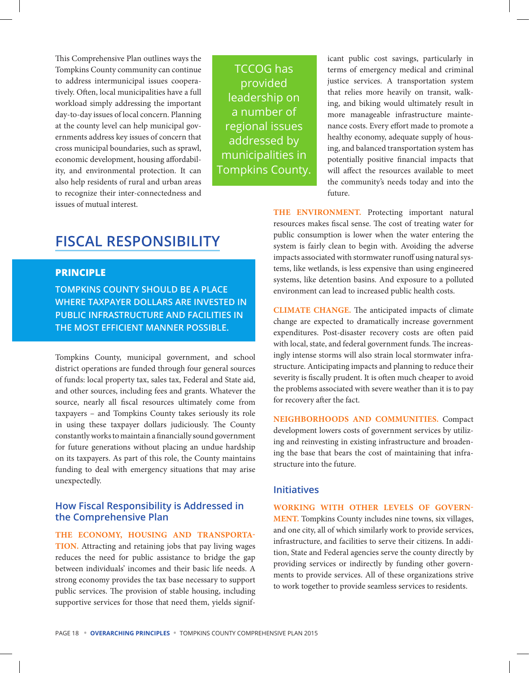This Comprehensive Plan outlines ways the Tompkins County community can continue to address intermunicipal issues cooperatively. Often, local municipalities have a full workload simply addressing the important day-to-day issues of local concern. Planning at the county level can help municipal governments address key issues of concern that cross municipal boundaries, such as sprawl, economic development, housing affordability, and environmental protection. It can also help residents of rural and urban areas to recognize their inter-connectedness and issues of mutual interest.

TCCOG has provided leadership on a number of regional issues addressed by municipalities in Tompkins County.

icant public cost savings, particularly in terms of emergency medical and criminal justice services. A transportation system that relies more heavily on transit, walking, and biking would ultimately result in more manageable infrastructure maintenance costs. Every effort made to promote a healthy economy, adequate supply of housing, and balanced transportation system has potentially positive financial impacts that will affect the resources available to meet the community's needs today and into the future.

# **FISCAL RESPONSIBILITY**

#### **PRINCIPLE**

**TOMPKINS COUNTY SHOULD BE A PLACE WHERE TAXPAYER DOLLARS ARE INVESTED IN PUBLIC INFRASTRUCTURE AND FACILITIES IN THE MOST EFFICIENT MANNER POSSIBLE.**

Tompkins County, municipal government, and school district operations are funded through four general sources of funds: local property tax, sales tax, Federal and State aid, and other sources, including fees and grants. Whatever the source, nearly all fiscal resources ultimately come from taxpayers – and Tompkins County takes seriously its role in using these taxpayer dollars judiciously. The County constantly works to maintain a financially sound government for future generations without placing an undue hardship on its taxpayers. As part of this role, the County maintains funding to deal with emergency situations that may arise unexpectedly.

## **How Fiscal Responsibility is Addressed in the Comprehensive Plan**

#### **THE ECONOMY, HOUSING AND TRANSPORTA-**

**TION.** Attracting and retaining jobs that pay living wages reduces the need for public assistance to bridge the gap between individuals' incomes and their basic life needs. A strong economy provides the tax base necessary to support public services. The provision of stable housing, including supportive services for those that need them, yields signif**THE ENVIRONMENT.** Protecting important natural resources makes fiscal sense. The cost of treating water for public consumption is lower when the water entering the system is fairly clean to begin with. Avoiding the adverse impacts associated with stormwater runoff using natural systems, like wetlands, is less expensive than using engineered systems, like detention basins. And exposure to a polluted environment can lead to increased public health costs.

**CLIMATE CHANGE.** The anticipated impacts of climate change are expected to dramatically increase government expenditures. Post-disaster recovery costs are often paid with local, state, and federal government funds. The increasingly intense storms will also strain local stormwater infrastructure. Anticipating impacts and planning to reduce their severity is fiscally prudent. It is often much cheaper to avoid the problems associated with severe weather than it is to pay for recovery after the fact.

**NEIGHBORHOODS AND COMMUNITIES.** Compact development lowers costs of government services by utilizing and reinvesting in existing infrastructure and broadening the base that bears the cost of maintaining that infrastructure into the future.

## **Initiatives**

**WORKING WITH OTHER LEVELS OF GOVERN-MENT.** Tompkins County includes nine towns, six villages, and one city, all of which similarly work to provide services, infrastructure, and facilities to serve their citizens. In addition, State and Federal agencies serve the county directly by providing services or indirectly by funding other governments to provide services. All of these organizations strive to work together to provide seamless services to residents.